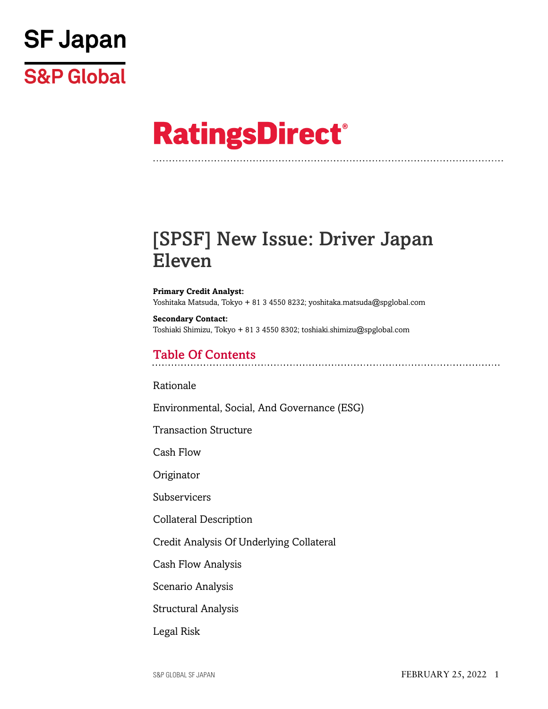

# **RatingsDirect®**

## [SPSF] New Issue: Driver Japan Eleven

**Primary Credit Analyst:** Yoshitaka Matsuda, Tokyo + 81 3 4550 8232; yoshitaka.matsuda@spglobal.com

**Secondary Contact:** Toshiaki Shimizu, Tokyo + 81 3 4550 8302; toshiaki.shimizu@spglobal.com

## Table Of Contents

[Rationale](#page-3-0)

[Environmental, Social, And Governance \(ESG\)](#page-4-0)

[Transaction Structure](#page-4-1)

[Cash Flow](#page-6-0)

[Originator](#page-8-0)

[Subservicers](#page-8-1)

[Collateral Description](#page-8-2)

[Credit Analysis Of Underlying Collateral](#page-14-0)

[Cash Flow Analysis](#page-17-0)

[Scenario Analysis](#page-18-0)

[Structural Analysis](#page-19-0)

[Legal Risk](#page-19-1)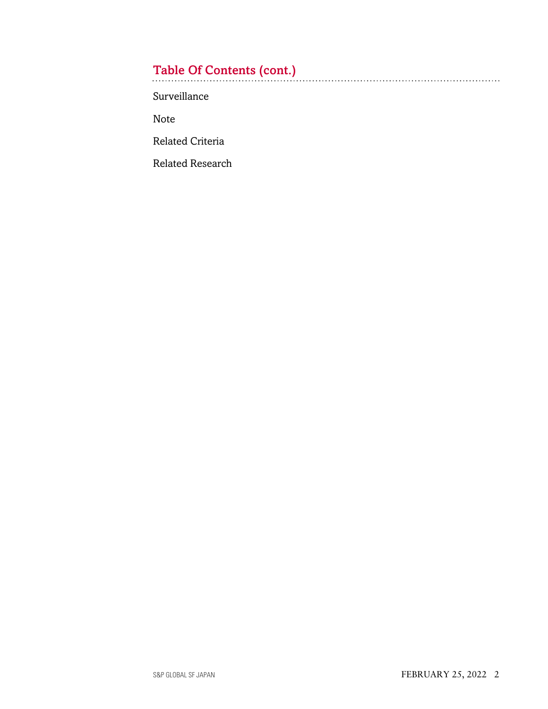## Table Of Contents (cont.)

[Surveillance](#page-20-0)

[Note](#page-21-0)

[Related Criteria](#page-21-1)

[Related Research](#page-21-2)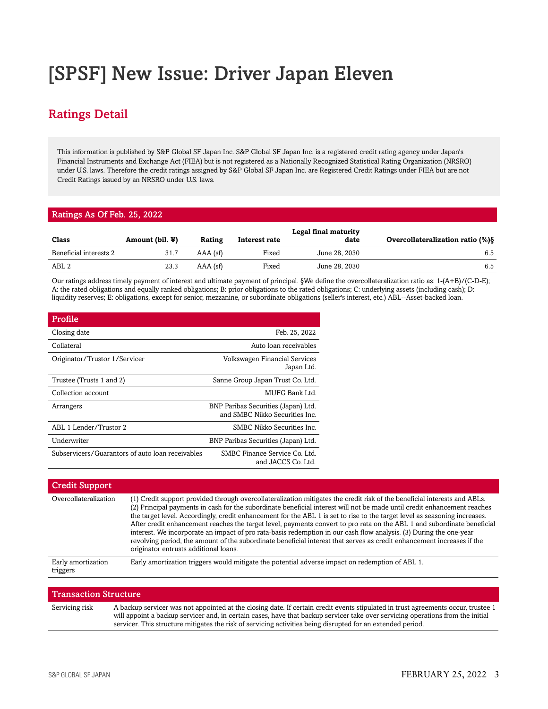## [SPSF] New Issue: Driver Japan Eleven

## Ratings Detail

This information is published by S&P Global SF Japan Inc. S&P Global SF Japan Inc. is a registered credit rating agency under Japan's Financial Instruments and Exchange Act (FIEA) but is not registered as a Nationally Recognized Statistical Rating Organization (NRSRO) under U.S. laws. Therefore the credit ratings assigned by S&P Global SF Japan Inc. are Registered Credit Ratings under FIEA but are not Credit Ratings issued by an NRSRO under U.S. laws.

#### Ratings As Of Feb. 25, 2022

| Class                  | Amount (bil. $\mathbf{\Psi}$ ) | Rating     | Interest rate | Legal final maturity<br>date | <b>Overcollateralization ratio (%) §</b> |
|------------------------|--------------------------------|------------|---------------|------------------------------|------------------------------------------|
| Beneficial interests 2 | 31.7                           | $AAA$ (sf) | Fixed         | June 28, 2030                | 6.5                                      |
| ABL 2                  | 23.3                           | $AAA$ (sf) | Fixed         | June 28, 2030                | 6.5                                      |

Our ratings address timely payment of interest and ultimate payment of principal. §We define the overcollateralization ratio as: 1-(A+B)/(C-D-E); A: the rated obligations and equally ranked obligations; B: prior obligations to the rated obligations; C: underlying assets (including cash); D: liquidity reserves; E: obligations, except for senior, mezzanine, or subordinate obligations (seller's interest, etc.) ABL--Asset-backed loan.

| Profile                                          |                                                                       |
|--------------------------------------------------|-----------------------------------------------------------------------|
| Closing date                                     | Feb. 25, 2022                                                         |
| Collateral                                       | Auto loan receivables                                                 |
| Originator/Trustor 1/Servicer                    | Volkswagen Financial Services<br>Japan Ltd.                           |
| Trustee (Trusts 1 and 2)                         | Sanne Group Japan Trust Co. Ltd.                                      |
| Collection account                               | MUFG Bank Ltd.                                                        |
| Arrangers                                        | BNP Paribas Securities (Japan) Ltd.<br>and SMBC Nikko Securities Inc. |
| ABL 1 Lender/Trustor 2                           | SMBC Nikko Securities Inc.                                            |
| Underwriter                                      | BNP Paribas Securities (Japan) Ltd.                                   |
| Subservicers/Guarantors of auto loan receivables | SMBC Finance Service Co. Ltd.<br>and JACCS Co. Ltd.                   |

| <b>Credit Support</b>          |                                                                                                                                                                                                                                                                                                                                                                                                                                                                                                                                                                                                                                                                                                                                                                                                         |
|--------------------------------|---------------------------------------------------------------------------------------------------------------------------------------------------------------------------------------------------------------------------------------------------------------------------------------------------------------------------------------------------------------------------------------------------------------------------------------------------------------------------------------------------------------------------------------------------------------------------------------------------------------------------------------------------------------------------------------------------------------------------------------------------------------------------------------------------------|
| Overcollateralization          | (1) Credit support provided through overcollateralization mitigates the credit risk of the beneficial interests and ABLs.<br>(2) Principal payments in cash for the subordinate beneficial interest will not be made until credit enhancement reaches<br>the target level. Accordingly, credit enhancement for the ABL 1 is set to rise to the target level as seasoning increases.<br>After credit enhancement reaches the target level, payments convert to pro rata on the ABL 1 and subordinate beneficial<br>interest. We incorporate an impact of pro rata-basis redemption in our cash flow analysis. (3) During the one-year<br>revolving period, the amount of the subordinate beneficial interest that serves as credit enhancement increases if the<br>originator entrusts additional loans. |
| Early amortization<br>triggers | Early amortization triggers would mitigate the potential adverse impact on redemption of ABL 1.                                                                                                                                                                                                                                                                                                                                                                                                                                                                                                                                                                                                                                                                                                         |
|                                |                                                                                                                                                                                                                                                                                                                                                                                                                                                                                                                                                                                                                                                                                                                                                                                                         |
| <b>Transaction Structure</b>   |                                                                                                                                                                                                                                                                                                                                                                                                                                                                                                                                                                                                                                                                                                                                                                                                         |

#### Servicing risk A backup servicer was not appointed at the closing date. If certain credit events stipulated in trust agreements occur, trustee 1 will appoint a backup servicer and, in certain cases, have that backup servicer take over servicing operations from the initial servicer. This structure mitigates the risk of servicing activities being disrupted for an extended period.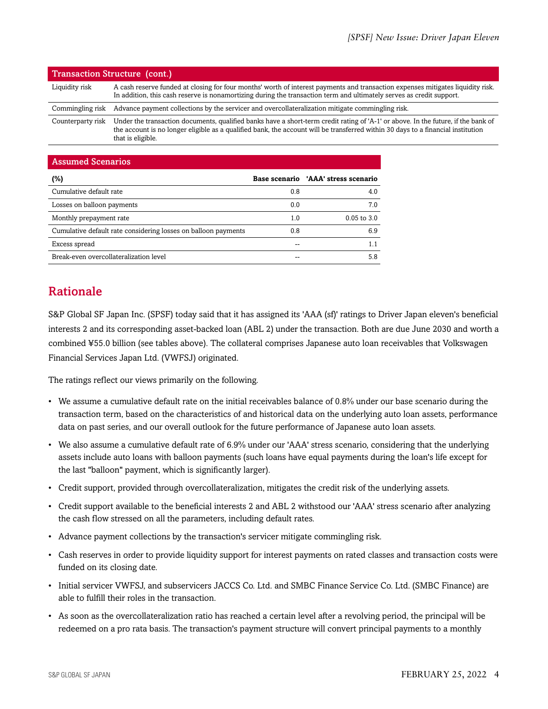| <b>Transaction Structure (cont.)</b> |                                                                                                                                                                                                                                                                                            |  |  |  |  |  |
|--------------------------------------|--------------------------------------------------------------------------------------------------------------------------------------------------------------------------------------------------------------------------------------------------------------------------------------------|--|--|--|--|--|
| Liquidity risk                       | A cash reserve funded at closing for four months' worth of interest payments and transaction expenses mitigates liquidity risk.<br>In addition, this cash reserve is nonamortizing during the transaction term and ultimately serves as credit support.                                    |  |  |  |  |  |
| Commingling risk                     | Advance payment collections by the servicer and overcollateralization mitigate commingling risk.                                                                                                                                                                                           |  |  |  |  |  |
| Counterparty risk                    | Under the transaction documents, qualified banks have a short-term credit rating of 'A-1' or above. In the future, if the bank of<br>the account is no longer eligible as a qualified bank, the account will be transferred within 30 days to a financial institution<br>that is eligible. |  |  |  |  |  |

| <b>Assumed Scenarios</b>                                       |     |                                     |
|----------------------------------------------------------------|-----|-------------------------------------|
| (%)                                                            |     | Base scenario 'AAA' stress scenario |
| Cumulative default rate                                        | 0.8 | 4.0                                 |
| Losses on balloon payments                                     | 0.0 | 7.0                                 |
| Monthly prepayment rate                                        | 1.0 | $0.05$ to $3.0$                     |
| Cumulative default rate considering losses on balloon payments | 0.8 | 6.9                                 |
| Excess spread                                                  |     | 11                                  |
| Break-even overcollateralization level                         |     | 5.8                                 |

## <span id="page-3-0"></span>Rationale

S&P Global SF Japan Inc. (SPSF) today said that it has assigned its 'AAA (sf)' ratings to Driver Japan eleven's beneficial interests 2 and its corresponding asset-backed loan (ABL 2) under the transaction. Both are due June 2030 and worth a combined ¥55.0 billion (see tables above). The collateral comprises Japanese auto loan receivables that Volkswagen Financial Services Japan Ltd. (VWFSJ) originated.

The ratings reflect our views primarily on the following.

- We assume a cumulative default rate on the initial receivables balance of 0.8% under our base scenario during the transaction term, based on the characteristics of and historical data on the underlying auto loan assets, performance data on past series, and our overall outlook for the future performance of Japanese auto loan assets.
- We also assume a cumulative default rate of 6.9% under our 'AAA' stress scenario, considering that the underlying assets include auto loans with balloon payments (such loans have equal payments during the loan's life except for the last "balloon" payment, which is significantly larger).
- Credit support, provided through overcollateralization, mitigates the credit risk of the underlying assets.
- Credit support available to the beneficial interests 2 and ABL 2 withstood our 'AAA' stress scenario after analyzing the cash flow stressed on all the parameters, including default rates.
- Advance payment collections by the transaction's servicer mitigate commingling risk.
- Cash reserves in order to provide liquidity support for interest payments on rated classes and transaction costs were funded on its closing date.
- Initial servicer VWFSJ, and subservicers JACCS Co. Ltd. and SMBC Finance Service Co. Ltd. (SMBC Finance) are able to fulfill their roles in the transaction.
- As soon as the overcollateralization ratio has reached a certain level after a revolving period, the principal will be redeemed on a pro rata basis. The transaction's payment structure will convert principal payments to a monthly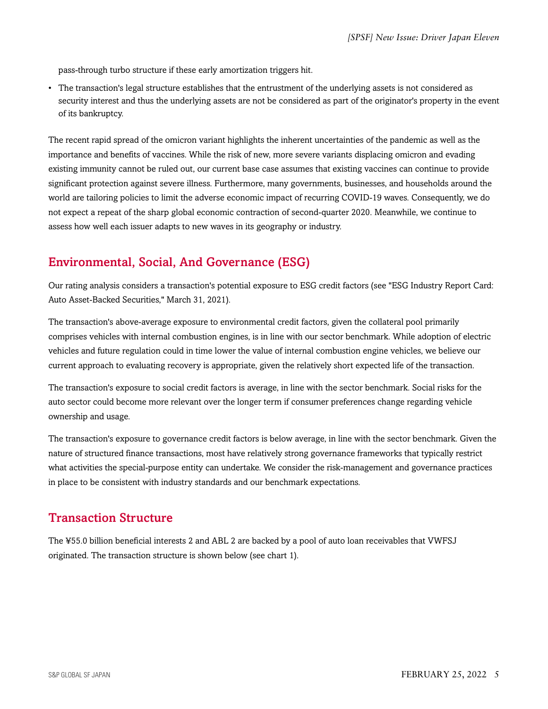pass-through turbo structure if these early amortization triggers hit.

• The transaction's legal structure establishes that the entrustment of the underlying assets is not considered as security interest and thus the underlying assets are not be considered as part of the originator's property in the event of its bankruptcy.

The recent rapid spread of the omicron variant highlights the inherent uncertainties of the pandemic as well as the importance and benefits of vaccines. While the risk of new, more severe variants displacing omicron and evading existing immunity cannot be ruled out, our current base case assumes that existing vaccines can continue to provide significant protection against severe illness. Furthermore, many governments, businesses, and households around the world are tailoring policies to limit the adverse economic impact of recurring COVID-19 waves. Consequently, we do not expect a repeat of the sharp global economic contraction of second-quarter 2020. Meanwhile, we continue to assess how well each issuer adapts to new waves in its geography or industry.

## <span id="page-4-0"></span>Environmental, Social, And Governance (ESG)

Our rating analysis considers a transaction's potential exposure to ESG credit factors (see "ESG Industry Report Card: Auto Asset-Backed Securities," March 31, 2021).

The transaction's above-average exposure to environmental credit factors, given the collateral pool primarily comprises vehicles with internal combustion engines, is in line with our sector benchmark. While adoption of electric vehicles and future regulation could in time lower the value of internal combustion engine vehicles, we believe our current approach to evaluating recovery is appropriate, given the relatively short expected life of the transaction.

The transaction's exposure to social credit factors is average, in line with the sector benchmark. Social risks for the auto sector could become more relevant over the longer term if consumer preferences change regarding vehicle ownership and usage.

The transaction's exposure to governance credit factors is below average, in line with the sector benchmark. Given the nature of structured finance transactions, most have relatively strong governance frameworks that typically restrict what activities the special-purpose entity can undertake. We consider the risk-management and governance practices in place to be consistent with industry standards and our benchmark expectations.

## <span id="page-4-1"></span>Transaction Structure

The ¥55.0 billion beneficial interests 2 and ABL 2 are backed by a pool of auto loan receivables that VWFSJ originated. The transaction structure is shown below (see chart 1).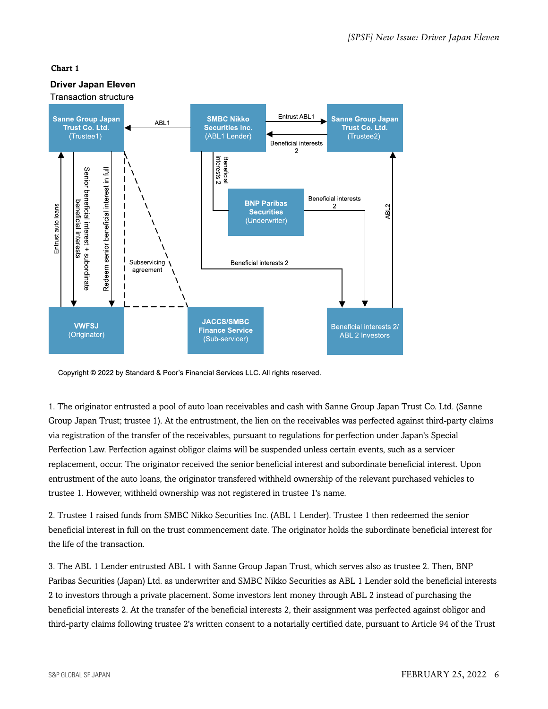#### **Chart 1**



Copyright © 2022 by Standard & Poor's Financial Services LLC. All rights reserved.

1. The originator entrusted a pool of auto loan receivables and cash with Sanne Group Japan Trust Co. Ltd. (Sanne Group Japan Trust; trustee 1). At the entrustment, the lien on the receivables was perfected against third-party claims via registration of the transfer of the receivables, pursuant to regulations for perfection under Japan's Special Perfection Law. Perfection against obligor claims will be suspended unless certain events, such as a servicer replacement, occur. The originator received the senior beneficial interest and subordinate beneficial interest. Upon entrustment of the auto loans, the originator transfered withheld ownership of the relevant purchased vehicles to trustee 1. However, withheld ownership was not registered in trustee 1's name.

2. Trustee 1 raised funds from SMBC Nikko Securities Inc. (ABL 1 Lender). Trustee 1 then redeemed the senior beneficial interest in full on the trust commencement date. The originator holds the subordinate beneficial interest for the life of the transaction.

3. The ABL 1 Lender entrusted ABL 1 with Sanne Group Japan Trust, which serves also as trustee 2. Then, BNP Paribas Securities (Japan) Ltd. as underwriter and SMBC Nikko Securities as ABL 1 Lender sold the beneficial interests 2 to investors through a private placement. Some investors lent money through ABL 2 instead of purchasing the beneficial interests 2. At the transfer of the beneficial interests 2, their assignment was perfected against obligor and third-party claims following trustee 2's written consent to a notarially certified date, pursuant to Article 94 of the Trust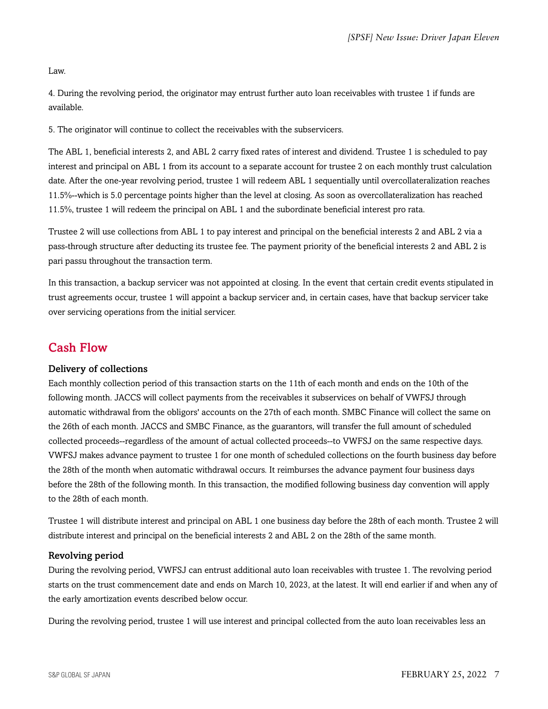Law.

4. During the revolving period, the originator may entrust further auto loan receivables with trustee 1 if funds are available.

5. The originator will continue to collect the receivables with the subservicers.

The ABL 1, beneficial interests 2, and ABL 2 carry fixed rates of interest and dividend. Trustee 1 is scheduled to pay interest and principal on ABL 1 from its account to a separate account for trustee 2 on each monthly trust calculation date. After the one-year revolving period, trustee 1 will redeem ABL 1 sequentially until overcollateralization reaches 11.5%--which is 5.0 percentage points higher than the level at closing. As soon as overcollateralization has reached 11.5%, trustee 1 will redeem the principal on ABL 1 and the subordinate beneficial interest pro rata.

Trustee 2 will use collections from ABL 1 to pay interest and principal on the beneficial interests 2 and ABL 2 via a pass-through structure after deducting its trustee fee. The payment priority of the beneficial interests 2 and ABL 2 is pari passu throughout the transaction term.

In this transaction, a backup servicer was not appointed at closing. In the event that certain credit events stipulated in trust agreements occur, trustee 1 will appoint a backup servicer and, in certain cases, have that backup servicer take over servicing operations from the initial servicer.

## <span id="page-6-0"></span>Cash Flow

#### Delivery of collections

Each monthly collection period of this transaction starts on the 11th of each month and ends on the 10th of the following month. JACCS will collect payments from the receivables it subservices on behalf of VWFSJ through automatic withdrawal from the obligors' accounts on the 27th of each month. SMBC Finance will collect the same on the 26th of each month. JACCS and SMBC Finance, as the guarantors, will transfer the full amount of scheduled collected proceeds--regardless of the amount of actual collected proceeds--to VWFSJ on the same respective days. VWFSJ makes advance payment to trustee 1 for one month of scheduled collections on the fourth business day before the 28th of the month when automatic withdrawal occurs. It reimburses the advance payment four business days before the 28th of the following month. In this transaction, the modified following business day convention will apply to the 28th of each month.

Trustee 1 will distribute interest and principal on ABL 1 one business day before the 28th of each month. Trustee 2 will distribute interest and principal on the beneficial interests 2 and ABL 2 on the 28th of the same month.

#### Revolving period

During the revolving period, VWFSJ can entrust additional auto loan receivables with trustee 1. The revolving period starts on the trust commencement date and ends on March 10, 2023, at the latest. It will end earlier if and when any of the early amortization events described below occur.

During the revolving period, trustee 1 will use interest and principal collected from the auto loan receivables less an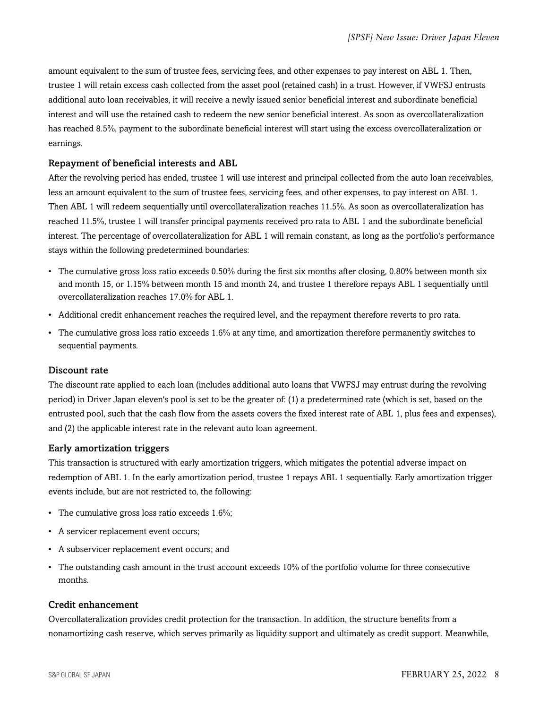amount equivalent to the sum of trustee fees, servicing fees, and other expenses to pay interest on ABL 1. Then, trustee 1 will retain excess cash collected from the asset pool (retained cash) in a trust. However, if VWFSJ entrusts additional auto loan receivables, it will receive a newly issued senior beneficial interest and subordinate beneficial interest and will use the retained cash to redeem the new senior beneficial interest. As soon as overcollateralization has reached 8.5%, payment to the subordinate beneficial interest will start using the excess overcollateralization or earnings.

#### Repayment of beneficial interests and ABL

After the revolving period has ended, trustee 1 will use interest and principal collected from the auto loan receivables, less an amount equivalent to the sum of trustee fees, servicing fees, and other expenses, to pay interest on ABL 1. Then ABL 1 will redeem sequentially until overcollateralization reaches 11.5%. As soon as overcollateralization has reached 11.5%, trustee 1 will transfer principal payments received pro rata to ABL 1 and the subordinate beneficial interest. The percentage of overcollateralization for ABL 1 will remain constant, as long as the portfolio's performance stays within the following predetermined boundaries:

- The cumulative gross loss ratio exceeds 0.50% during the first six months after closing, 0.80% between month six and month 15, or 1.15% between month 15 and month 24, and trustee 1 therefore repays ABL 1 sequentially until overcollateralization reaches 17.0% for ABL 1.
- Additional credit enhancement reaches the required level, and the repayment therefore reverts to pro rata.
- The cumulative gross loss ratio exceeds 1.6% at any time, and amortization therefore permanently switches to sequential payments.

#### Discount rate

The discount rate applied to each loan (includes additional auto loans that VWFSJ may entrust during the revolving period) in Driver Japan eleven's pool is set to be the greater of: (1) a predetermined rate (which is set, based on the entrusted pool, such that the cash flow from the assets covers the fixed interest rate of ABL 1, plus fees and expenses), and (2) the applicable interest rate in the relevant auto loan agreement.

#### Early amortization triggers

This transaction is structured with early amortization triggers, which mitigates the potential adverse impact on redemption of ABL 1. In the early amortization period, trustee 1 repays ABL 1 sequentially. Early amortization trigger events include, but are not restricted to, the following:

- The cumulative gross loss ratio exceeds 1.6%;
- A servicer replacement event occurs;
- A subservicer replacement event occurs; and
- The outstanding cash amount in the trust account exceeds 10% of the portfolio volume for three consecutive months.

#### Credit enhancement

Overcollateralization provides credit protection for the transaction. In addition, the structure benefits from a nonamortizing cash reserve, which serves primarily as liquidity support and ultimately as credit support. Meanwhile,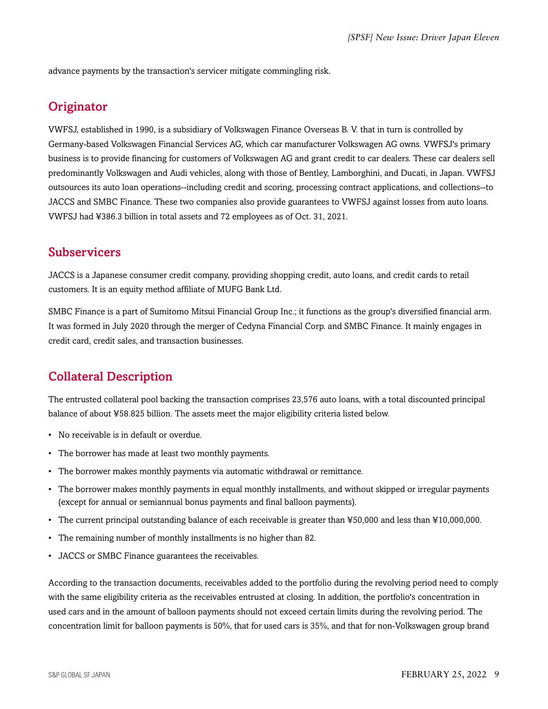<span id="page-8-0"></span>advance payments by the transaction's servicer mitigate commingling risk.

## **Originator**

VWFSJ, established in 1990, is a subsidiary of Volkswagen Finance Overseas B. V. that in turn is controlled by Germany-based Volkswagen Financial Services AG, which car manufacturer Volkswagen AG owns. VWFSJ's primary business is to provide financing for customers of Volkswagen AG and grant credit to car dealers. These car dealers sell predominantly Volkswagen and Audi vehicles, along with those of Bentley, Lamborghini, and Ducati, in Japan. VWFSJ outsources its auto loan operations--including credit and scoring, processing contract applications, and collections--to JACCS and SMBC Finance. These two companies also provide guarantees to VWFSJ against losses from auto loans. VWFSJ had ¥386.3 billion in total assets and 72 employees as of Oct. 31, 2021.

### <span id="page-8-1"></span>Subservicers

JACCS is a Japanese consumer credit company, providing shopping credit, auto loans, and credit cards to retail customers. It is an equity method affiliate of MUFG Bank Ltd.

SMBC Finance is a part of Sumitomo Mitsui Financial Group Inc.; it functions as the group's diversified financial arm. It was formed in July 2020 through the merger of Cedyna Financial Corp. and SMBC Finance. It mainly engages in credit card, credit sales, and transaction businesses.

## <span id="page-8-2"></span>Collateral Description

The entrusted collateral pool backing the transaction comprises 23,576 auto loans, with a total discounted principal balance of about ¥58.825 billion. The assets meet the major eligibility criteria listed below.

- No receivable is in default or overdue.
- The borrower has made at least two monthly payments.
- The borrower makes monthly payments via automatic withdrawal or remittance.
- The borrower makes monthly payments in equal monthly installments, and without skipped or irregular payments (except for annual or semiannual bonus payments and final balloon payments).
- The current principal outstanding balance of each receivable is greater than ¥50,000 and less than ¥10,000,000.
- The remaining number of monthly installments is no higher than 82.
- JACCS or SMBC Finance guarantees the receivables.

According to the transaction documents, receivables added to the portfolio during the revolving period need to comply with the same eligibility criteria as the receivables entrusted at closing. In addition, the portfolio's concentration in used cars and in the amount of balloon payments should not exceed certain limits during the revolving period. The concentration limit for balloon payments is 50%, that for used cars is 35%, and that for non-Volkswagen group brand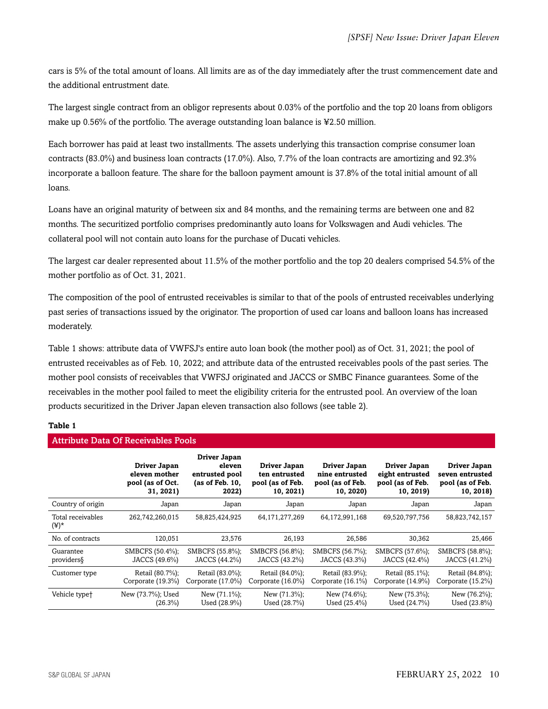cars is 5% of the total amount of loans. All limits are as of the day immediately after the trust commencement date and the additional entrustment date.

The largest single contract from an obligor represents about 0.03% of the portfolio and the top 20 loans from obligors make up 0.56% of the portfolio. The average outstanding loan balance is ¥2.50 million.

Each borrower has paid at least two installments. The assets underlying this transaction comprise consumer loan contracts (83.0%) and business loan contracts (17.0%). Also, 7.7% of the loan contracts are amortizing and 92.3% incorporate a balloon feature. The share for the balloon payment amount is 37.8% of the total initial amount of all loans.

Loans have an original maturity of between six and 84 months, and the remaining terms are between one and 82 months. The securitized portfolio comprises predominantly auto loans for Volkswagen and Audi vehicles. The collateral pool will not contain auto loans for the purchase of Ducati vehicles.

The largest car dealer represented about 11.5% of the mother portfolio and the top 20 dealers comprised 54.5% of the mother portfolio as of Oct. 31, 2021.

The composition of the pool of entrusted receivables is similar to that of the pools of entrusted receivables underlying past series of transactions issued by the originator. The proportion of used car loans and balloon loans has increased moderately.

Table 1 shows: attribute data of VWFSJ's entire auto loan book (the mother pool) as of Oct. 31, 2021; the pool of entrusted receivables as of Feb. 10, 2022; and attribute data of the entrusted receivables pools of the past series. The mother pool consists of receivables that VWFSJ originated and JACCS or SMBC Finance guarantees. Some of the receivables in the mother pool failed to meet the eligibility criteria for the entrusted pool. An overview of the loan products securitized in the Driver Japan eleven transaction also follows (see table 2).

#### **Table 1**

| <b>Attribute Data Of Receivables Pools</b> |                                                                |                                                                      |                                                                |                                                                 |                                                                  |                                                                  |  |
|--------------------------------------------|----------------------------------------------------------------|----------------------------------------------------------------------|----------------------------------------------------------------|-----------------------------------------------------------------|------------------------------------------------------------------|------------------------------------------------------------------|--|
|                                            | Driver Japan<br>eleven mother<br>pool (as of Oct.<br>31, 2021) | Driver Japan<br>eleven<br>entrusted pool<br>(as of Feb. 10,<br>2022) | Driver Japan<br>ten entrusted<br>pool (as of Feb.<br>10, 2021) | Driver Japan<br>nine entrusted<br>pool (as of Feb.<br>10, 2020) | Driver Japan<br>eight entrusted<br>pool (as of Feb.<br>10, 2019) | Driver Japan<br>seven entrusted<br>pool (as of Feb.<br>10, 2018) |  |
| Country of origin                          | Japan                                                          | Japan                                                                | Japan                                                          | Japan                                                           | Japan                                                            | Japan                                                            |  |
| Total receivables<br>(¥)*                  | 262,742,260,015                                                | 58,825,424,925                                                       | 64,171,277,269                                                 | 64,172,991,168                                                  | 69,520,797,756                                                   | 58,823,742,157                                                   |  |
| No. of contracts                           | 120,051                                                        | 23,576                                                               | 26,193                                                         | 26,586                                                          | 30,362                                                           | 25,466                                                           |  |
| Guarantee<br>providers                     | SMBCFS (50.4%);<br>JACCS (49.6%)                               | SMBCFS (55.8%);<br>JACCS (44.2%)                                     | SMBCFS (56.8%);<br>JACCS (43.2%)                               | SMBCFS (56.7%);<br>JACCS (43.3%)                                | SMBCFS (57.6%);<br>JACCS (42.4%)                                 | SMBCFS (58.8%);<br>JACCS (41.2%)                                 |  |
| Customer type                              | Retail (80.7%);<br>Corporate (19.3%)                           | Retail (83.0%);<br>Corporate (17.0%)                                 | Retail (84.0%);<br>Corporate (16.0%)                           | Retail (83.9%);<br>Corporate (16.1%)                            | Retail (85.1%);<br>Corporate (14.9%)                             | Retail (84.8%);<br>Corporate (15.2%)                             |  |
| Vehicle type†                              | New (73.7%); Used<br>$(26.3\%)$                                | New $(71.1\%)$ ;<br>Used (28.9%)                                     | New $(71.3\%)$ ;<br>Used (28.7%)                               | New (74.6%);<br>Used (25.4%)                                    | New (75.3%);<br>Used (24.7%)                                     | New (76.2%);<br>Used (23.8%)                                     |  |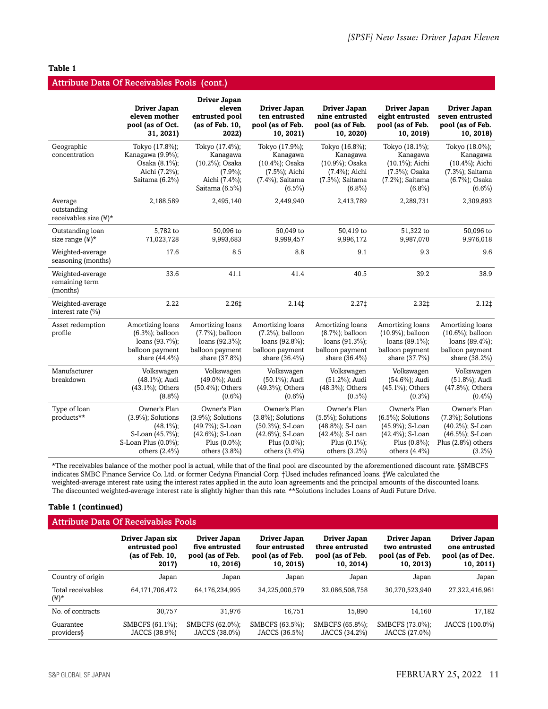#### **Table 1**

#### Attribute Data Of Receivables Pools (cont.)

|                                                       | Driver Japan<br>eleven mother<br>pool (as of Oct.<br>31, 2021)                                                      | Driver Japan<br>eleven<br>entrusted pool<br>(as of Feb. 10,<br>2022)                                                | Driver Japan<br>ten entrusted<br>pool (as of Feb.<br>10, 2021)                                                      | Driver Japan<br>nine entrusted<br>pool (as of Feb.<br>10, 2020)                                                     | Driver Japan<br>eight entrusted<br>pool (as of Feb.<br>10, 2019)                                                | Driver Japan<br>seven entrusted<br>pool (as of Feb.<br>10, 2018)                                           |
|-------------------------------------------------------|---------------------------------------------------------------------------------------------------------------------|---------------------------------------------------------------------------------------------------------------------|---------------------------------------------------------------------------------------------------------------------|---------------------------------------------------------------------------------------------------------------------|-----------------------------------------------------------------------------------------------------------------|------------------------------------------------------------------------------------------------------------|
| Geographic<br>concentration                           | Tokyo (17.8%);<br>Kanagawa (9.9%);<br>Osaka (8.1%);<br>Aichi (7.2%);<br>Saitama (6.2%)                              | Tokyo (17.4%);<br>Kanagawa<br>(10.2%); Osaka<br>$(7.9\%)$ ;<br>Aichi (7.4%);<br>Saitama (6.5%)                      | Tokyo (17.9%);<br>Kanagawa<br>(10.4%); Osaka<br>$(7.5\%)$ ; Aichi<br>(7.4%); Saitama<br>$(6.5\%)$                   | Tokyo (16.8%);<br>Kanagawa<br>(10.9%); Osaka<br>(7.4%); Aichi<br>(7.3%); Saitama<br>$(6.8\%)$                       | Tokyo (18.1%);<br>Kanagawa<br>(10.1%); Aichi<br>(7.3%); Osaka<br>(7.2%); Saitama<br>$(6.8\%)$                   | Tokyo (18.0%);<br>Kanagawa<br>(10.4%); Aichi<br>(7.3%); Saitama<br>(6.7%); Osaka<br>$(6.6\%)$              |
| Average<br>outstanding<br>receivables size $(\yen)^*$ | 2,188,589                                                                                                           | 2,495,140                                                                                                           | 2,449,940                                                                                                           | 2,413,789                                                                                                           | 2,289,731                                                                                                       | 2,309,893                                                                                                  |
| Outstanding loan<br>size range $(\frac{y}{x})^*$      | 5,782 to<br>71,023,728                                                                                              | 50,096 to<br>9,993,683                                                                                              | 50,049 to<br>9,999,457                                                                                              | 50,419 to<br>9,996,172                                                                                              | 51,322 to<br>9,987,070                                                                                          | 50,096 to<br>9,976,018                                                                                     |
| Weighted-average<br>seasoning (months)                | 17.6                                                                                                                | 8.5                                                                                                                 | 8.8                                                                                                                 | 9.1                                                                                                                 | 9.3                                                                                                             | 9.6                                                                                                        |
| Weighted-average<br>remaining term<br>(months)        | 33.6                                                                                                                | 41.1                                                                                                                | 41.4                                                                                                                | 40.5                                                                                                                | 39.2                                                                                                            | 38.9                                                                                                       |
| Weighted-average<br>interest rate (%)                 | 2.22                                                                                                                | 2.26‡                                                                                                               | 2.14‡                                                                                                               | 2.27‡                                                                                                               | 2.32‡                                                                                                           | 2.12‡                                                                                                      |
| Asset redemption<br>profile                           | Amortizing loans<br>$(6.3\%)$ ; balloon<br>loans $(93.7\%)$ ;<br>balloon payment<br>share (44.4%)                   | Amortizing loans<br>$(7.7\%)$ ; balloon<br>loans (92.3%);<br>balloon payment<br>share (37.8%)                       | Amortizing loans<br>$(7.2\%)$ ; balloon<br>loans (92.8%);<br>balloon payment<br>share (36.4%)                       | Amortizing loans<br>$(8.7\%)$ ; balloon<br>loans (91.3%);<br>balloon payment<br>share (36.4%)                       | Amortizing loans<br>(10.9%); balloon<br>loans (89.1%);<br>balloon payment<br>share (37.7%)                      | Amortizing loans<br>$(10.6\%)$ ; balloon<br>loans (89.4%);<br>balloon payment<br>share (38.2%)             |
| Manufacturer<br>breakdown                             | Volkswagen<br>(48.1%); Audi<br>$(43.1\%)$ ; Others<br>$(8.8\%)$                                                     | Volkswagen<br>(49.0%); Audi<br>$(50.4\%)$ ; Others<br>$(0.6\%)$                                                     | Volkswagen<br>(50.1%); Audi<br>(49.3%); Others<br>$(0.6\%)$                                                         | Volkswagen<br>(51.2%); Audi<br>(48.3%); Others<br>$(0.5\%)$                                                         | Volkswagen<br>(54.6%); Audi<br>$(45.1\%)$ ; Others<br>$(0.3\%)$                                                 | Volkswagen<br>(51.8%); Audi<br>(47.8%); Others<br>$(0.4\%)$                                                |
| Type of loan<br>products**                            | Owner's Plan<br>$(3.9\%)$ ; Solutions<br>$(48.1\%)$ ;<br>S-Loan (45.7%);<br>S-Loan Plus (0.0%);<br>others $(2.4\%)$ | Owner's Plan<br>$(3.9\%)$ ; Solutions<br>(49.7%); S-Loan<br>(42.6%); S-Loan<br>Plus $(0.0\%)$ ;<br>others $(3.8\%)$ | Owner's Plan<br>$(3.8\%)$ ; Solutions<br>(50.3%); S-Loan<br>$(42.6\%)$ ; S-Loan<br>Plus (0.0%);<br>others $(3.4\%)$ | Owner's Plan<br>$(5.5\%)$ ; Solutions<br>(48.8%); S-Loan<br>(42.4%); S-Loan<br>Plus $(0.1\%)$ ;<br>others $(3.2\%)$ | Owner's Plan<br>$(6.5\%)$ ; Solutions<br>(45.9%); S-Loan<br>(42.4%); S-Loan<br>Plus (0.8%);<br>others $(4.4\%)$ | Owner's Plan<br>(7.3%); Solutions<br>(40.2%); S-Loan<br>(46.5%); S-Loan<br>Plus (2.8%) others<br>$(3.2\%)$ |

\*The receivables balance of the mother pool is actual, while that of the final pool are discounted by the aforementioned discount rate. §SMBCFS indicates SMBC Finance Service Co. Ltd. or former Cedyna Financial Corp. †Used includes refinanced loans. ‡We calculated the weighted-average interest rate using the interest rates applied in the auto loan agreements and the principal amounts of the discounted loans. The discounted weighted-average interest rate is slightly higher than this rate. \*\*Solutions includes Loans of Audi Future Drive.

#### **Table 1 (continued)**

| <b>Attribute Data Of Receivables Pools</b> |                                                                |                                                                 |                                                                 |                                                                  |                                                                |                                                                |  |
|--------------------------------------------|----------------------------------------------------------------|-----------------------------------------------------------------|-----------------------------------------------------------------|------------------------------------------------------------------|----------------------------------------------------------------|----------------------------------------------------------------|--|
|                                            | Driver Japan six<br>entrusted pool<br>(as of Feb. 10,<br>2017) | Driver Japan<br>five entrusted<br>pool (as of Feb.<br>10, 2016) | Driver Japan<br>four entrusted<br>pool (as of Feb.<br>10, 2015) | Driver Japan<br>three entrusted<br>pool (as of Feb.<br>10, 2014) | Driver Japan<br>two entrusted<br>pool (as of Feb.<br>10, 2013) | Driver Japan<br>one entrusted<br>pool (as of Dec.<br>10, 2011) |  |
| Country of origin                          | Japan                                                          | Japan                                                           | Japan                                                           | Japan                                                            | Japan                                                          | Japan                                                          |  |
| Total receivables<br>$(\yen)^*$            | 64,171,706,472                                                 | 64,176,234,995                                                  | 34,225,000,579                                                  | 32,086,508,758                                                   | 30,270,523,940                                                 | 27,322,416,961                                                 |  |
| No. of contracts                           | 30.757                                                         | 31.976                                                          | 16.751                                                          | 15.890                                                           | 14.160                                                         | 17,182                                                         |  |
| Guarantee<br>providers§                    | SMBCFS (61.1%);<br>JACCS (38.9%)                               | SMBCFS (62.0%);<br>JACCS (38.0%)                                | SMBCFS (63.5%);<br>JACCS (36.5%)                                | SMBCFS (65.8%);<br>JACCS (34.2%)                                 | SMBCFS (73.0%);<br>JACCS (27.0%)                               | JACCS (100.0%)                                                 |  |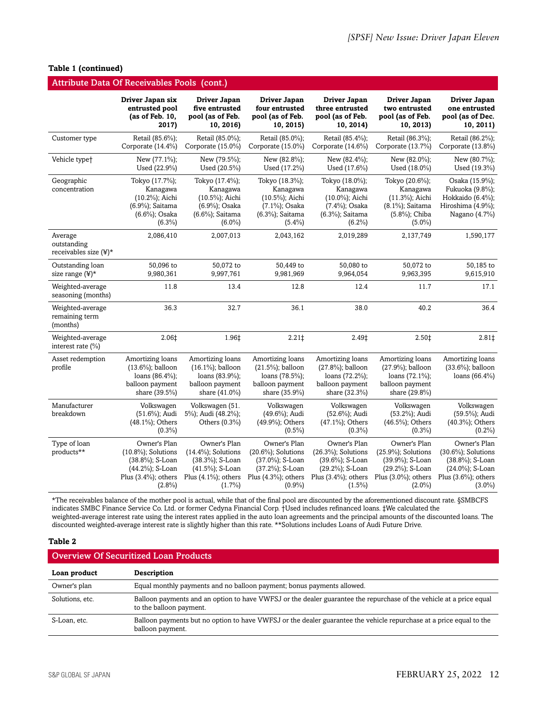| Attribute Data Of Receivables Pools (cont.)      |                                                                                                                          |                                                                                                                          |                                                                                                                          |                                                                                                                      |                                                                                                                      |                                                                                                                          |  |
|--------------------------------------------------|--------------------------------------------------------------------------------------------------------------------------|--------------------------------------------------------------------------------------------------------------------------|--------------------------------------------------------------------------------------------------------------------------|----------------------------------------------------------------------------------------------------------------------|----------------------------------------------------------------------------------------------------------------------|--------------------------------------------------------------------------------------------------------------------------|--|
|                                                  | Driver Japan six<br>entrusted pool<br>(as of Feb. 10,<br>2017)                                                           | Driver Japan<br>five entrusted<br>pool (as of Feb.<br>10, 2016)                                                          | Driver Japan<br>four entrusted<br>pool (as of Feb.<br>10, 2015)                                                          | Driver Japan<br>three entrusted<br>pool (as of Feb.<br>10, 2014)                                                     | Driver Japan<br>two entrusted<br>pool (as of Feb.<br>10, 2013)                                                       | Driver Japan<br>one entrusted<br>pool (as of Dec.<br>10, 2011)                                                           |  |
| Customer type                                    | Retail (85.6%);<br>Corporate (14.4%)                                                                                     | Retail (85.0%);<br>Corporate (15.0%)                                                                                     | Retail (85.0%);<br>Corporate (15.0%)                                                                                     | Retail (85.4%);<br>Corporate (14.6%)                                                                                 | Retail (86.3%);<br>Corporate (13.7%)                                                                                 | Retail (86.2%);<br>Corporate (13.8%)                                                                                     |  |
| Vehicle type <sup>+</sup>                        | New (77.1%);<br>Used (22.9%)                                                                                             | New (79.5%);<br>Used (20.5%)                                                                                             | New (82.8%);<br>Used (17.2%)                                                                                             | New (82.4%);<br>Used (17.6%)                                                                                         | New (82.0%);<br>Used (18.0%)                                                                                         | New (80.7%);<br>Used (19.3%)                                                                                             |  |
| Geographic<br>concentration                      | Tokyo (17.7%);<br>Kanagawa<br>(10.2%); Aichi<br>(6.9%); Saitama<br>(6.6%); Osaka<br>$(6.3\%)$                            | Tokyo (17.4%);<br>Kanagawa<br>(10.5%); Aichi<br>(6.9%); Osaka<br>(6.6%); Saitama<br>$(6.0\%)$                            | Tokyo (18.3%);<br>Kanagawa<br>(10.5%); Aichi<br>(7.1%); Osaka<br>(6.3%); Saitama<br>$(5.4\%)$                            | Tokyo (18.0%);<br>Kanagawa<br>(10.0%); Aichi<br>(7.4%); Osaka<br>(6.3%); Saitama<br>$(6.2\%)$                        | Tokyo (20.6%);<br>Kanagawa<br>(11.3%); Aichi<br>(8.1%); Saitama<br>(5.8%); Chiba<br>$(5.0\%)$                        | Osaka (15.9%);<br>Fukuoka (9.8%);<br>Hokkaido (6.4%);<br>Hiroshima (4.9%);<br>Nagano (4.7%)                              |  |
| Average<br>outstanding<br>receivables size (¥)*  | 2,086,410                                                                                                                | 2,007,013                                                                                                                | 2,043,162                                                                                                                | 2,019,289                                                                                                            | 2,137,749                                                                                                            | 1,590,177                                                                                                                |  |
| Outstanding loan<br>size range $(\frac{1}{2})^*$ | 50,096 to<br>9,980,361                                                                                                   | 50,072 to<br>9,997,761                                                                                                   | 50,449 to<br>9,981,969                                                                                                   | 50,080 to<br>9,964,054                                                                                               | 50,072 to<br>9,963,395                                                                                               | 50,185 to<br>9,615,910                                                                                                   |  |
| Weighted-average<br>seasoning (months)           | 11.8                                                                                                                     | 13.4                                                                                                                     | 12.8                                                                                                                     | 12.4                                                                                                                 | 11.7                                                                                                                 | 17.1                                                                                                                     |  |
| Weighted-average<br>remaining term<br>(months)   | 36.3                                                                                                                     | 32.7                                                                                                                     | 36.1                                                                                                                     | 38.0                                                                                                                 | 40.2                                                                                                                 | 36.4                                                                                                                     |  |
| Weighted-average<br>interest rate (%)            | 2.06‡                                                                                                                    | 1.96‡                                                                                                                    | 2.21                                                                                                                     | 2.49‡                                                                                                                | $2.50+$                                                                                                              | $2.81 \ddagger$                                                                                                          |  |
| Asset redemption<br>profile                      | Amortizing loans<br>$(13.6\%)$ ; balloon<br>loans $(86.4\%)$ ;<br>balloon payment<br>share (39.5%)                       | Amortizing loans<br>$(16.1\%)$ ; balloon<br>loans (83.9%);<br>balloon payment<br>share (41.0%)                           | Amortizing loans<br>$(21.5\%)$ ; balloon<br>loans (78.5%);<br>balloon payment<br>share (35.9%)                           | Amortizing loans<br>$(27.8\%)$ ; balloon<br>loans (72.2%);<br>balloon payment<br>share (32.3%)                       | Amortizing loans<br>(27.9%); balloon<br>loans $(72.1\%)$ ;<br>balloon payment<br>share (29.8%)                       | Amortizing loans<br>$(33.6\%)$ ; balloon<br>loans $(66.4\%)$                                                             |  |
| Manufacturer<br>breakdown                        | Volkswagen<br>(51.6%); Audi<br>(48.1%); Others<br>$(0.3\%)$                                                              | Volkswagen (51.<br>5%); Audi (48.2%);<br>Others (0.3%)                                                                   | Volkswagen<br>(49.6%); Audi<br>(49.9%); Others<br>$(0.5\%)$                                                              | Volkswagen<br>(52.6%); Audi<br>(47.1%); Others<br>$(0.3\%)$                                                          | Volkswagen<br>(53.2%); Audi<br>(46.5%); Others<br>$(0.3\%)$                                                          | Volkswagen<br>(59.5%); Audi<br>(40.3%); Others<br>$(0.2\%)$                                                              |  |
| Type of loan<br>products**                       | Owner's Plan<br>$(10.8\%)$ ; Solutions<br>$(38.8\%)$ ; S-Loan<br>(44.2%); S-Loan<br>Plus $(3.4\%)$ ; others<br>$(2.8\%)$ | Owner's Plan<br>$(14.4\%)$ ; Solutions<br>$(38.3\%)$ ; S-Loan<br>(41.5%); S-Loan<br>Plus $(4.1\%)$ ; others<br>$(1.7\%)$ | Owner's Plan<br>$(20.6\%)$ ; Solutions<br>$(37.0\%)$ ; S-Loan<br>(37.2%); S-Loan<br>Plus $(4.3\%)$ ; others<br>$(0.9\%)$ | Owner's Plan<br>$(26.3\%)$ ; Solutions<br>(39.6%); S-Loan<br>(29.2%); S-Loan<br>Plus $(3.4\%)$ ; others<br>$(1.5\%)$ | Owner's Plan<br>$(25.9\%)$ ; Solutions<br>(39.9%); S-Loan<br>(29.2%); S-Loan<br>Plus $(3.0\%)$ ; others<br>$(2.0\%)$ | Owner's Plan<br>$(30.6\%)$ ; Solutions<br>$(38.8\%)$ ; S-Loan<br>(24.0%); S-Loan<br>Plus $(3.6\%)$ ; others<br>$(3.0\%)$ |  |

#### **Table 1 (continued)**

\*The receivables balance of the mother pool is actual, while that of the final pool are discounted by the aforementioned discount rate. §SMBCFS indicates SMBC Finance Service Co. Ltd. or former Cedyna Financial Corp. †Used includes refinanced loans. ‡We calculated the weighted-average interest rate using the interest rates applied in the auto loan agreements and the principal amounts of the discounted loans. The discounted weighted-average interest rate is slightly higher than this rate. \*\*Solutions includes Loans of Audi Future Drive.

#### **Table 2**

| <b>Overview Of Securitized Loan Products</b> |                                                                                                                                                |  |  |  |  |
|----------------------------------------------|------------------------------------------------------------------------------------------------------------------------------------------------|--|--|--|--|
| Loan product                                 | Description                                                                                                                                    |  |  |  |  |
| Owner's plan                                 | Equal monthly payments and no balloon payment; bonus payments allowed.                                                                         |  |  |  |  |
| Solutions, etc.                              | Balloon payments and an option to have VWFSJ or the dealer guarantee the repurchase of the vehicle at a price equal<br>to the balloon payment. |  |  |  |  |
| S-Loan, etc.                                 | Balloon payments but no option to have VWFSJ or the dealer guarantee the vehicle repurchase at a price equal to the<br>balloon payment.        |  |  |  |  |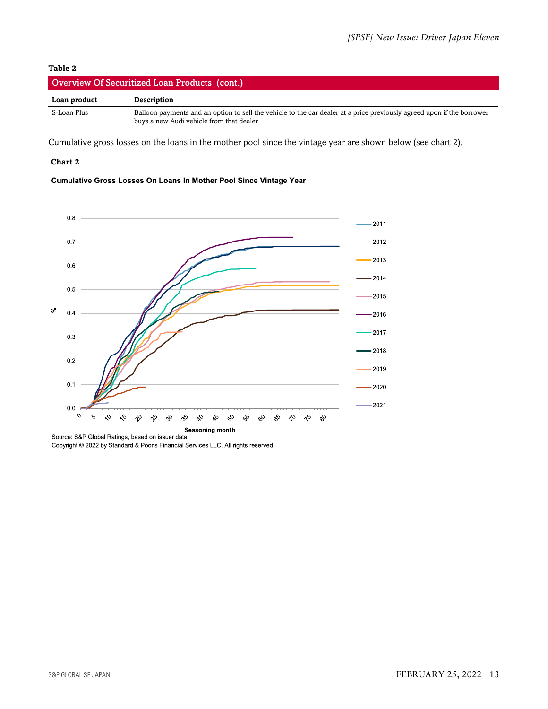#### **Table 2**

| Overview Of Securitized Loan Products (cont.) |                                                                                                                                                                     |  |  |  |
|-----------------------------------------------|---------------------------------------------------------------------------------------------------------------------------------------------------------------------|--|--|--|
| Loan product                                  | <b>Description</b>                                                                                                                                                  |  |  |  |
| S-Loan Plus                                   | Balloon payments and an option to sell the vehicle to the car dealer at a price previously agreed upon if the borrower<br>buys a new Audi vehicle from that dealer. |  |  |  |

Cumulative gross losses on the loans in the mother pool since the vintage year are shown below (see chart 2).

#### **Chart 2**

#### Cumulative Gross Losses On Loans In Mother Pool Since Vintage Year



Copyright © 2022 by Standard & Poor's Financial Services LLC. All rights reserved.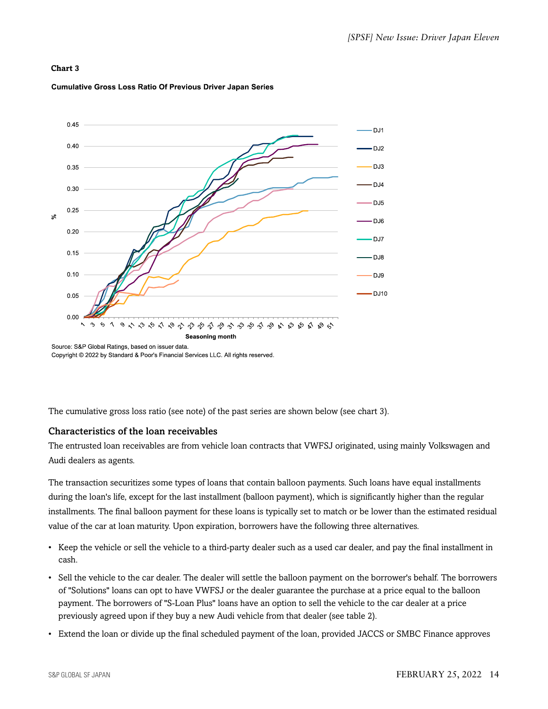#### **Chart 3**



#### **Cumulative Gross Loss Ratio Of Previous Driver Japan Series**

Source: S&P Global Ratings, based on issuer data. Copyright © 2022 by Standard & Poor's Financial Services LLC. All rights reserved.

The cumulative gross loss ratio (see note) of the past series are shown below (see chart 3).

#### Characteristics of the loan receivables

The entrusted loan receivables are from vehicle loan contracts that VWFSJ originated, using mainly Volkswagen and Audi dealers as agents.

The transaction securitizes some types of loans that contain balloon payments. Such loans have equal installments during the loan's life, except for the last installment (balloon payment), which is significantly higher than the regular installments. The final balloon payment for these loans is typically set to match or be lower than the estimated residual value of the car at loan maturity. Upon expiration, borrowers have the following three alternatives.

- Keep the vehicle or sell the vehicle to a third-party dealer such as a used car dealer, and pay the final installment in cash.
- Sell the vehicle to the car dealer. The dealer will settle the balloon payment on the borrower's behalf. The borrowers of "Solutions" loans can opt to have VWFSJ or the dealer guarantee the purchase at a price equal to the balloon payment. The borrowers of "S-Loan Plus" loans have an option to sell the vehicle to the car dealer at a price previously agreed upon if they buy a new Audi vehicle from that dealer (see table 2).
- Extend the loan or divide up the final scheduled payment of the loan, provided JACCS or SMBC Finance approves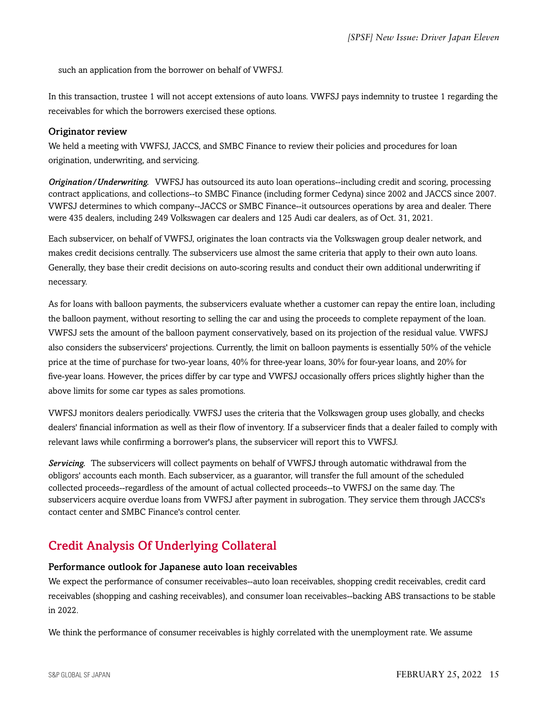such an application from the borrower on behalf of VWFSJ.

In this transaction, trustee 1 will not accept extensions of auto loans. VWFSJ pays indemnity to trustee 1 regarding the receivables for which the borrowers exercised these options.

#### Originator review

We held a meeting with VWFSJ, JACCS, and SMBC Finance to review their policies and procedures for loan origination, underwriting, and servicing.

*Origination/Underwriting.* VWFSJ has outsourced its auto loan operations--including credit and scoring, processing contract applications, and collections--to SMBC Finance (including former Cedyna) since 2002 and JACCS since 2007. VWFSJ determines to which company--JACCS or SMBC Finance--it outsources operations by area and dealer. There were 435 dealers, including 249 Volkswagen car dealers and 125 Audi car dealers, as of Oct. 31, 2021.

Each subservicer, on behalf of VWFSJ, originates the loan contracts via the Volkswagen group dealer network, and makes credit decisions centrally. The subservicers use almost the same criteria that apply to their own auto loans. Generally, they base their credit decisions on auto-scoring results and conduct their own additional underwriting if necessary.

As for loans with balloon payments, the subservicers evaluate whether a customer can repay the entire loan, including the balloon payment, without resorting to selling the car and using the proceeds to complete repayment of the loan. VWFSJ sets the amount of the balloon payment conservatively, based on its projection of the residual value. VWFSJ also considers the subservicers' projections. Currently, the limit on balloon payments is essentially 50% of the vehicle price at the time of purchase for two-year loans, 40% for three-year loans, 30% for four-year loans, and 20% for five-year loans. However, the prices differ by car type and VWFSJ occasionally offers prices slightly higher than the above limits for some car types as sales promotions.

VWFSJ monitors dealers periodically. VWFSJ uses the criteria that the Volkswagen group uses globally, and checks dealers' financial information as well as their flow of inventory. If a subservicer finds that a dealer failed to comply with relevant laws while confirming a borrower's plans, the subservicer will report this to VWFSJ.

*Servicing.* The subservicers will collect payments on behalf of VWFSJ through automatic withdrawal from the obligors' accounts each month. Each subservicer, as a guarantor, will transfer the full amount of the scheduled collected proceeds--regardless of the amount of actual collected proceeds--to VWFSJ on the same day. The subservicers acquire overdue loans from VWFSJ after payment in subrogation. They service them through JACCS's contact center and SMBC Finance's control center.

## <span id="page-14-0"></span>Credit Analysis Of Underlying Collateral

#### Performance outlook for Japanese auto loan receivables

We expect the performance of consumer receivables--auto loan receivables, shopping credit receivables, credit card receivables (shopping and cashing receivables), and consumer loan receivables--backing ABS transactions to be stable in 2022.

We think the performance of consumer receivables is highly correlated with the unemployment rate. We assume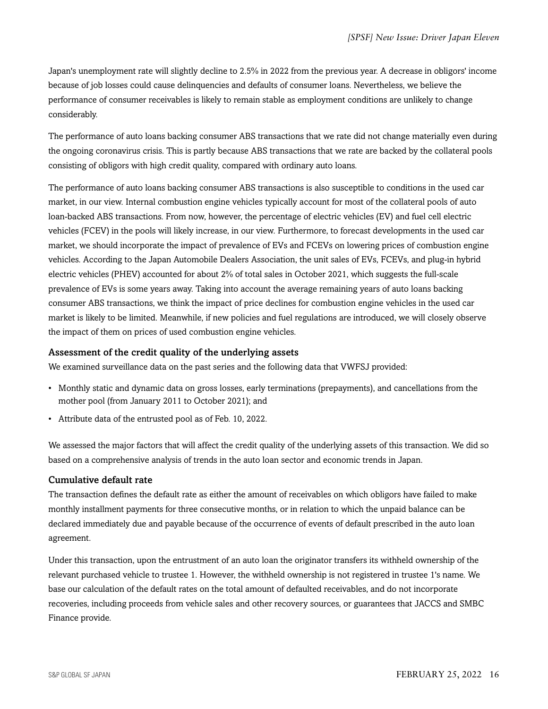Japan's unemployment rate will slightly decline to 2.5% in 2022 from the previous year. A decrease in obligors' income because of job losses could cause delinquencies and defaults of consumer loans. Nevertheless, we believe the performance of consumer receivables is likely to remain stable as employment conditions are unlikely to change considerably.

The performance of auto loans backing consumer ABS transactions that we rate did not change materially even during the ongoing coronavirus crisis. This is partly because ABS transactions that we rate are backed by the collateral pools consisting of obligors with high credit quality, compared with ordinary auto loans.

The performance of auto loans backing consumer ABS transactions is also susceptible to conditions in the used car market, in our view. Internal combustion engine vehicles typically account for most of the collateral pools of auto loan-backed ABS transactions. From now, however, the percentage of electric vehicles (EV) and fuel cell electric vehicles (FCEV) in the pools will likely increase, in our view. Furthermore, to forecast developments in the used car market, we should incorporate the impact of prevalence of EVs and FCEVs on lowering prices of combustion engine vehicles. According to the Japan Automobile Dealers Association, the unit sales of EVs, FCEVs, and plug-in hybrid electric vehicles (PHEV) accounted for about 2% of total sales in October 2021, which suggests the full-scale prevalence of EVs is some years away. Taking into account the average remaining years of auto loans backing consumer ABS transactions, we think the impact of price declines for combustion engine vehicles in the used car market is likely to be limited. Meanwhile, if new policies and fuel regulations are introduced, we will closely observe the impact of them on prices of used combustion engine vehicles.

#### Assessment of the credit quality of the underlying assets

We examined surveillance data on the past series and the following data that VWFSJ provided:

- Monthly static and dynamic data on gross losses, early terminations (prepayments), and cancellations from the mother pool (from January 2011 to October 2021); and
- Attribute data of the entrusted pool as of Feb. 10, 2022.

We assessed the major factors that will affect the credit quality of the underlying assets of this transaction. We did so based on a comprehensive analysis of trends in the auto loan sector and economic trends in Japan.

#### Cumulative default rate

The transaction defines the default rate as either the amount of receivables on which obligors have failed to make monthly installment payments for three consecutive months, or in relation to which the unpaid balance can be declared immediately due and payable because of the occurrence of events of default prescribed in the auto loan agreement.

Under this transaction, upon the entrustment of an auto loan the originator transfers its withheld ownership of the relevant purchased vehicle to trustee 1. However, the withheld ownership is not registered in trustee 1's name. We base our calculation of the default rates on the total amount of defaulted receivables, and do not incorporate recoveries, including proceeds from vehicle sales and other recovery sources, or guarantees that JACCS and SMBC Finance provide.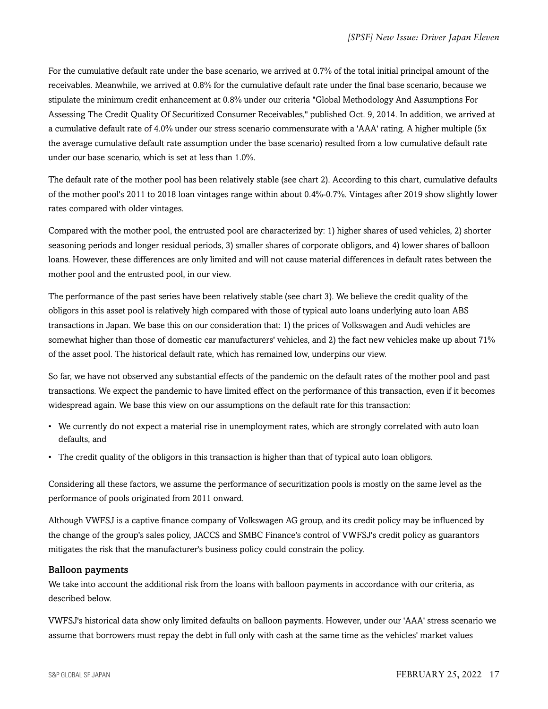For the cumulative default rate under the base scenario, we arrived at 0.7% of the total initial principal amount of the receivables. Meanwhile, we arrived at 0.8% for the cumulative default rate under the final base scenario, because we stipulate the minimum credit enhancement at 0.8% under our criteria "Global Methodology And Assumptions For Assessing The Credit Quality Of Securitized Consumer Receivables," published Oct. 9, 2014. In addition, we arrived at a cumulative default rate of 4.0% under our stress scenario commensurate with a 'AAA' rating. A higher multiple (5x the average cumulative default rate assumption under the base scenario) resulted from a low cumulative default rate under our base scenario, which is set at less than 1.0%.

The default rate of the mother pool has been relatively stable (see chart 2). According to this chart, cumulative defaults of the mother pool's 2011 to 2018 loan vintages range within about 0.4%-0.7%. Vintages after 2019 show slightly lower rates compared with older vintages.

Compared with the mother pool, the entrusted pool are characterized by: 1) higher shares of used vehicles, 2) shorter seasoning periods and longer residual periods, 3) smaller shares of corporate obligors, and 4) lower shares of balloon loans. However, these differences are only limited and will not cause material differences in default rates between the mother pool and the entrusted pool, in our view.

The performance of the past series have been relatively stable (see chart 3). We believe the credit quality of the obligors in this asset pool is relatively high compared with those of typical auto loans underlying auto loan ABS transactions in Japan. We base this on our consideration that: 1) the prices of Volkswagen and Audi vehicles are somewhat higher than those of domestic car manufacturers' vehicles, and 2) the fact new vehicles make up about 71% of the asset pool. The historical default rate, which has remained low, underpins our view.

So far, we have not observed any substantial effects of the pandemic on the default rates of the mother pool and past transactions. We expect the pandemic to have limited effect on the performance of this transaction, even if it becomes widespread again. We base this view on our assumptions on the default rate for this transaction:

- We currently do not expect a material rise in unemployment rates, which are strongly correlated with auto loan defaults, and
- The credit quality of the obligors in this transaction is higher than that of typical auto loan obligors.

Considering all these factors, we assume the performance of securitization pools is mostly on the same level as the performance of pools originated from 2011 onward.

Although VWFSJ is a captive finance company of Volkswagen AG group, and its credit policy may be influenced by the change of the group's sales policy, JACCS and SMBC Finance's control of VWFSJ's credit policy as guarantors mitigates the risk that the manufacturer's business policy could constrain the policy.

#### Balloon payments

We take into account the additional risk from the loans with balloon payments in accordance with our criteria, as described below.

VWFSJ's historical data show only limited defaults on balloon payments. However, under our 'AAA' stress scenario we assume that borrowers must repay the debt in full only with cash at the same time as the vehicles' market values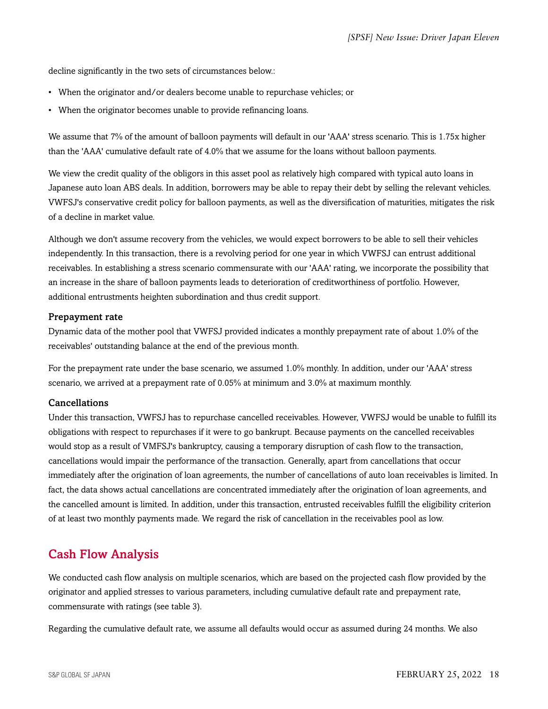decline significantly in the two sets of circumstances below.:

- When the originator and/or dealers become unable to repurchase vehicles; or
- When the originator becomes unable to provide refinancing loans.

We assume that 7% of the amount of balloon payments will default in our 'AAA' stress scenario. This is 1.75x higher than the 'AAA' cumulative default rate of 4.0% that we assume for the loans without balloon payments.

We view the credit quality of the obligors in this asset pool as relatively high compared with typical auto loans in Japanese auto loan ABS deals. In addition, borrowers may be able to repay their debt by selling the relevant vehicles. VWFSJ's conservative credit policy for balloon payments, as well as the diversification of maturities, mitigates the risk of a decline in market value.

Although we don't assume recovery from the vehicles, we would expect borrowers to be able to sell their vehicles independently. In this transaction, there is a revolving period for one year in which VWFSJ can entrust additional receivables. In establishing a stress scenario commensurate with our 'AAA' rating, we incorporate the possibility that an increase in the share of balloon payments leads to deterioration of creditworthiness of portfolio. However, additional entrustments heighten subordination and thus credit support.

#### Prepayment rate

Dynamic data of the mother pool that VWFSJ provided indicates a monthly prepayment rate of about 1.0% of the receivables' outstanding balance at the end of the previous month.

For the prepayment rate under the base scenario, we assumed 1.0% monthly. In addition, under our 'AAA' stress scenario, we arrived at a prepayment rate of 0.05% at minimum and 3.0% at maximum monthly.

#### Cancellations

Under this transaction, VWFSJ has to repurchase cancelled receivables. However, VWFSJ would be unable to fulfill its obligations with respect to repurchases if it were to go bankrupt. Because payments on the cancelled receivables would stop as a result of VMFSJ's bankruptcy, causing a temporary disruption of cash flow to the transaction, cancellations would impair the performance of the transaction. Generally, apart from cancellations that occur immediately after the origination of loan agreements, the number of cancellations of auto loan receivables is limited. In fact, the data shows actual cancellations are concentrated immediately after the origination of loan agreements, and the cancelled amount is limited. In addition, under this transaction, entrusted receivables fulfill the eligibility criterion of at least two monthly payments made. We regard the risk of cancellation in the receivables pool as low.

### <span id="page-17-0"></span>Cash Flow Analysis

We conducted cash flow analysis on multiple scenarios, which are based on the projected cash flow provided by the originator and applied stresses to various parameters, including cumulative default rate and prepayment rate, commensurate with ratings (see table 3).

Regarding the cumulative default rate, we assume all defaults would occur as assumed during 24 months. We also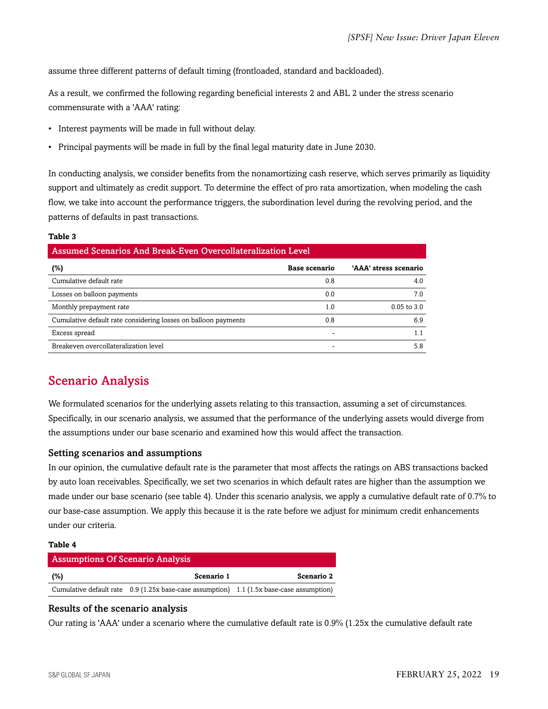assume three different patterns of default timing (frontloaded, standard and backloaded).

As a result, we confirmed the following regarding beneficial interests 2 and ABL 2 under the stress scenario commensurate with a 'AAA' rating:

- Interest payments will be made in full without delay.
- Principal payments will be made in full by the final legal maturity date in June 2030.

In conducting analysis, we consider benefits from the nonamortizing cash reserve, which serves primarily as liquidity support and ultimately as credit support. To determine the effect of pro rata amortization, when modeling the cash flow, we take into account the performance triggers, the subordination level during the revolving period, and the patterns of defaults in past transactions.

#### **Table 3**

| Assumed Scenarios And Break-Even Overcollateralization Level   |               |                       |  |  |  |  |
|----------------------------------------------------------------|---------------|-----------------------|--|--|--|--|
| $(\%)$                                                         | Base scenario | 'AAA' stress scenario |  |  |  |  |
| Cumulative default rate                                        | 0.8           | 4.0                   |  |  |  |  |
| Losses on balloon payments                                     | 0.0           | 7.0                   |  |  |  |  |
| Monthly prepayment rate                                        | 1.0           | $0.05$ to $3.0$       |  |  |  |  |
| Cumulative default rate considering losses on balloon payments | 0.8           | 6.9                   |  |  |  |  |
| Excess spread                                                  |               |                       |  |  |  |  |
| Breakeven overcollateralization level                          |               | 5.8                   |  |  |  |  |

## <span id="page-18-0"></span>Scenario Analysis

We formulated scenarios for the underlying assets relating to this transaction, assuming a set of circumstances. Specifically, in our scenario analysis, we assumed that the performance of the underlying assets would diverge from the assumptions under our base scenario and examined how this would affect the transaction.

#### Setting scenarios and assumptions

In our opinion, the cumulative default rate is the parameter that most affects the ratings on ABS transactions backed by auto loan receivables. Specifically, we set two scenarios in which default rates are higher than the assumption we made under our base scenario (see table 4). Under this scenario analysis, we apply a cumulative default rate of 0.7% to our base-case assumption. We apply this because it is the rate before we adjust for minimum credit enhancements under our criteria.

#### **Table 4**

| <b>Assumptions Of Scenario Analysis</b> |                                                                                           |            |
|-----------------------------------------|-------------------------------------------------------------------------------------------|------------|
| (%)                                     | Scenario 1                                                                                | Scenario 2 |
|                                         | Cumulative default rate $0.9(1.25x$ base-case assumption) 1.1 (1.5x base-case assumption) |            |

#### Results of the scenario analysis

Our rating is 'AAA' under a scenario where the cumulative default rate is 0.9% (1.25x the cumulative default rate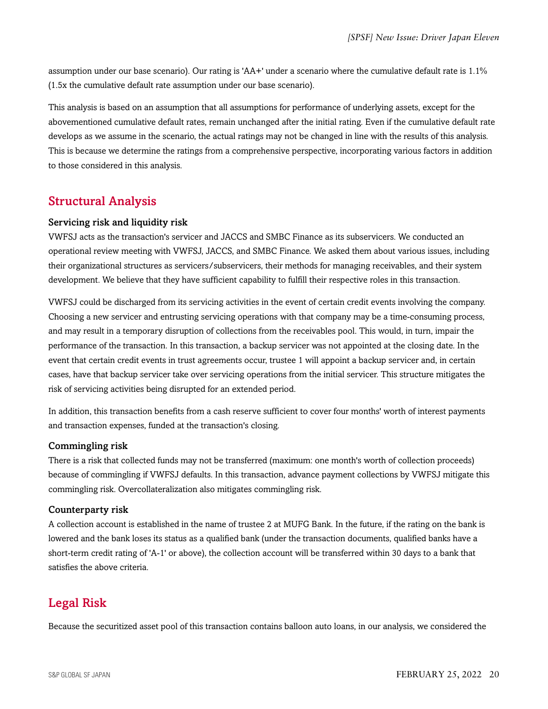assumption under our base scenario). Our rating is 'AA+' under a scenario where the cumulative default rate is 1.1% (1.5x the cumulative default rate assumption under our base scenario).

This analysis is based on an assumption that all assumptions for performance of underlying assets, except for the abovementioned cumulative default rates, remain unchanged after the initial rating. Even if the cumulative default rate develops as we assume in the scenario, the actual ratings may not be changed in line with the results of this analysis. This is because we determine the ratings from a comprehensive perspective, incorporating various factors in addition to those considered in this analysis.

## <span id="page-19-0"></span>Structural Analysis

#### Servicing risk and liquidity risk

VWFSJ acts as the transaction's servicer and JACCS and SMBC Finance as its subservicers. We conducted an operational review meeting with VWFSJ, JACCS, and SMBC Finance. We asked them about various issues, including their organizational structures as servicers/subservicers, their methods for managing receivables, and their system development. We believe that they have sufficient capability to fulfill their respective roles in this transaction.

VWFSJ could be discharged from its servicing activities in the event of certain credit events involving the company. Choosing a new servicer and entrusting servicing operations with that company may be a time-consuming process, and may result in a temporary disruption of collections from the receivables pool. This would, in turn, impair the performance of the transaction. In this transaction, a backup servicer was not appointed at the closing date. In the event that certain credit events in trust agreements occur, trustee 1 will appoint a backup servicer and, in certain cases, have that backup servicer take over servicing operations from the initial servicer. This structure mitigates the risk of servicing activities being disrupted for an extended period.

In addition, this transaction benefits from a cash reserve sufficient to cover four months' worth of interest payments and transaction expenses, funded at the transaction's closing.

#### Commingling risk

There is a risk that collected funds may not be transferred (maximum: one month's worth of collection proceeds) because of commingling if VWFSJ defaults. In this transaction, advance payment collections by VWFSJ mitigate this commingling risk. Overcollateralization also mitigates commingling risk.

#### Counterparty risk

A collection account is established in the name of trustee 2 at MUFG Bank. In the future, if the rating on the bank is lowered and the bank loses its status as a qualified bank (under the transaction documents, qualified banks have a short-term credit rating of 'A-1' or above), the collection account will be transferred within 30 days to a bank that satisfies the above criteria.

## <span id="page-19-1"></span>Legal Risk

Because the securitized asset pool of this transaction contains balloon auto loans, in our analysis, we considered the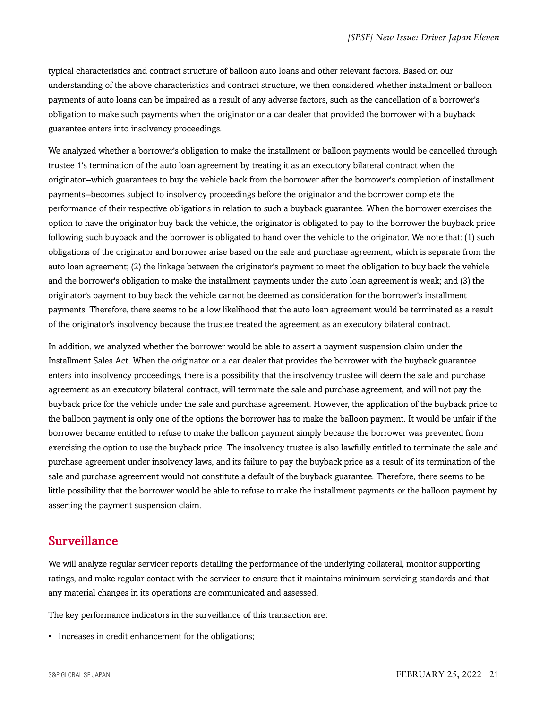typical characteristics and contract structure of balloon auto loans and other relevant factors. Based on our understanding of the above characteristics and contract structure, we then considered whether installment or balloon payments of auto loans can be impaired as a result of any adverse factors, such as the cancellation of a borrower's obligation to make such payments when the originator or a car dealer that provided the borrower with a buyback guarantee enters into insolvency proceedings.

We analyzed whether a borrower's obligation to make the installment or balloon payments would be cancelled through trustee 1's termination of the auto loan agreement by treating it as an executory bilateral contract when the originator--which guarantees to buy the vehicle back from the borrower after the borrower's completion of installment payments--becomes subject to insolvency proceedings before the originator and the borrower complete the performance of their respective obligations in relation to such a buyback guarantee. When the borrower exercises the option to have the originator buy back the vehicle, the originator is obligated to pay to the borrower the buyback price following such buyback and the borrower is obligated to hand over the vehicle to the originator. We note that: (1) such obligations of the originator and borrower arise based on the sale and purchase agreement, which is separate from the auto loan agreement; (2) the linkage between the originator's payment to meet the obligation to buy back the vehicle and the borrower's obligation to make the installment payments under the auto loan agreement is weak; and (3) the originator's payment to buy back the vehicle cannot be deemed as consideration for the borrower's installment payments. Therefore, there seems to be a low likelihood that the auto loan agreement would be terminated as a result of the originator's insolvency because the trustee treated the agreement as an executory bilateral contract.

In addition, we analyzed whether the borrower would be able to assert a payment suspension claim under the Installment Sales Act. When the originator or a car dealer that provides the borrower with the buyback guarantee enters into insolvency proceedings, there is a possibility that the insolvency trustee will deem the sale and purchase agreement as an executory bilateral contract, will terminate the sale and purchase agreement, and will not pay the buyback price for the vehicle under the sale and purchase agreement. However, the application of the buyback price to the balloon payment is only one of the options the borrower has to make the balloon payment. It would be unfair if the borrower became entitled to refuse to make the balloon payment simply because the borrower was prevented from exercising the option to use the buyback price. The insolvency trustee is also lawfully entitled to terminate the sale and purchase agreement under insolvency laws, and its failure to pay the buyback price as a result of its termination of the sale and purchase agreement would not constitute a default of the buyback guarantee. Therefore, there seems to be little possibility that the borrower would be able to refuse to make the installment payments or the balloon payment by asserting the payment suspension claim.

### <span id="page-20-0"></span>Surveillance

We will analyze regular servicer reports detailing the performance of the underlying collateral, monitor supporting ratings, and make regular contact with the servicer to ensure that it maintains minimum servicing standards and that any material changes in its operations are communicated and assessed.

The key performance indicators in the surveillance of this transaction are:

• Increases in credit enhancement for the obligations;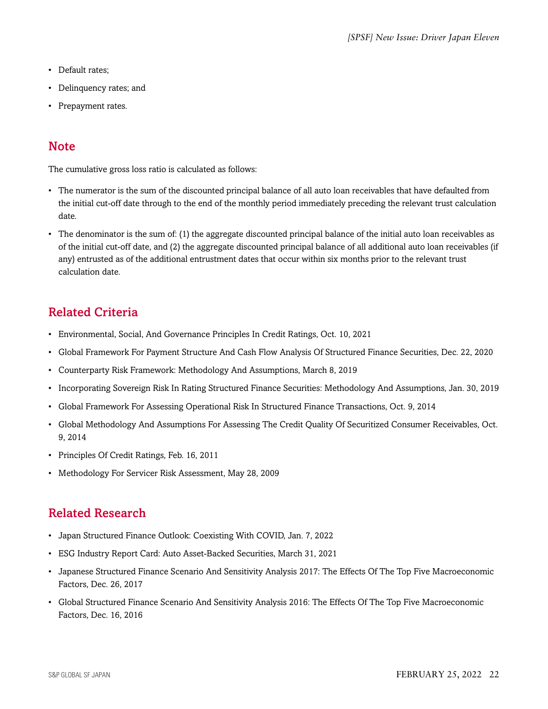- Default rates;
- Delinquency rates; and
- Prepayment rates.

## <span id="page-21-0"></span>**Note**

The cumulative gross loss ratio is calculated as follows:

- The numerator is the sum of the discounted principal balance of all auto loan receivables that have defaulted from the initial cut-off date through to the end of the monthly period immediately preceding the relevant trust calculation date.
- The denominator is the sum of: (1) the aggregate discounted principal balance of the initial auto loan receivables as of the initial cut-off date, and (2) the aggregate discounted principal balance of all additional auto loan receivables (if any) entrusted as of the additional entrustment dates that occur within six months prior to the relevant trust calculation date.

## <span id="page-21-1"></span>Related Criteria

- Environmental, Social, And Governance Principles In Credit Ratings, Oct. 10, 2021
- Global Framework For Payment Structure And Cash Flow Analysis Of Structured Finance Securities, Dec. 22, 2020
- Counterparty Risk Framework: Methodology And Assumptions, March 8, 2019
- Incorporating Sovereign Risk In Rating Structured Finance Securities: Methodology And Assumptions, Jan. 30, 2019
- Global Framework For Assessing Operational Risk In Structured Finance Transactions, Oct. 9, 2014
- Global Methodology And Assumptions For Assessing The Credit Quality Of Securitized Consumer Receivables, Oct. 9, 2014
- Principles Of Credit Ratings, Feb. 16, 2011
- Methodology For Servicer Risk Assessment, May 28, 2009

## <span id="page-21-2"></span>Related Research

- Japan Structured Finance Outlook: Coexisting With COVID, Jan. 7, 2022
- ESG Industry Report Card: Auto Asset-Backed Securities, March 31, 2021
- Japanese Structured Finance Scenario And Sensitivity Analysis 2017: The Effects Of The Top Five Macroeconomic Factors, Dec. 26, 2017
- Global Structured Finance Scenario And Sensitivity Analysis 2016: The Effects Of The Top Five Macroeconomic Factors, Dec. 16, 2016